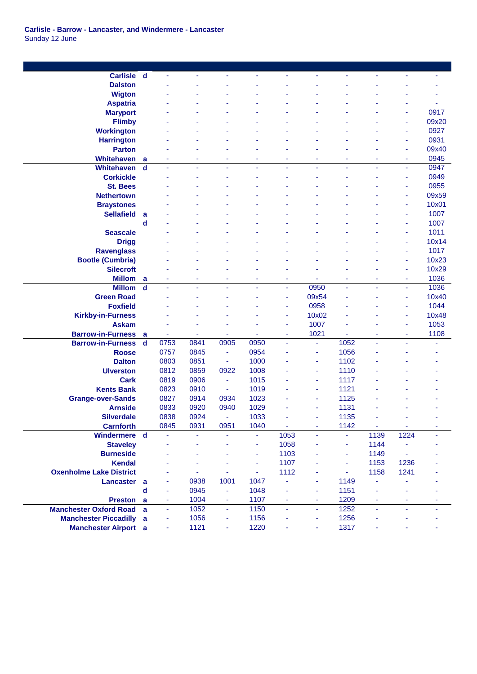| <b>Carlisle</b>                | $\mathbf d$ | ä,                       | $\blacksquare$ |                | ٠    | ä,             | ÷,             | Ξ    | ä,                       | $\blacksquare$ | Ξ     |
|--------------------------------|-------------|--------------------------|----------------|----------------|------|----------------|----------------|------|--------------------------|----------------|-------|
| <b>Dalston</b>                 |             |                          |                |                |      |                |                |      |                          |                |       |
| <b>Wigton</b>                  |             |                          |                |                |      |                |                |      |                          |                |       |
| <b>Aspatria</b>                |             |                          |                |                |      |                |                |      |                          |                |       |
| <b>Maryport</b>                |             |                          |                |                |      |                |                |      |                          |                | 0917  |
| <b>Flimby</b>                  |             |                          |                |                |      |                |                |      |                          | ٠              | 09x20 |
| <b>Workington</b>              |             |                          |                |                |      |                |                |      |                          | ä,             | 0927  |
| <b>Harrington</b>              |             |                          |                |                |      |                |                |      |                          | $\blacksquare$ | 0931  |
| <b>Parton</b>                  |             |                          |                |                |      |                |                |      |                          | $\blacksquare$ | 09x40 |
| <b>Whitehaven</b>              | a           |                          |                |                | ÷    |                |                | ٠    | ۰                        | $\blacksquare$ | 0945  |
| Whitehaven                     | d           |                          | $\blacksquare$ |                | ä,   | ä,             |                | ä,   | ä,                       | ÷.             | 0947  |
| <b>Corkickle</b>               |             |                          |                |                |      |                |                |      |                          | ٠              | 0949  |
| <b>St. Bees</b>                |             |                          |                |                |      |                |                |      |                          | ۰              | 0955  |
| <b>Nethertown</b>              |             |                          |                |                |      |                |                |      |                          | $\blacksquare$ | 09x59 |
| <b>Braystones</b>              |             |                          |                |                |      |                |                |      |                          | ÷              | 10x01 |
| <b>Sellafield</b>              | a           |                          |                |                |      |                |                |      |                          | ٠              | 1007  |
|                                | d           |                          |                |                |      |                |                |      |                          | ä,             | 1007  |
| <b>Seascale</b>                |             |                          |                |                |      |                |                |      |                          | ÷,             | 1011  |
| <b>Drigg</b>                   |             |                          |                |                |      |                |                |      |                          | ٠              | 10x14 |
| <b>Ravenglass</b>              |             |                          |                |                |      |                |                |      |                          | ÷,             | 1017  |
| <b>Bootle (Cumbria)</b>        |             |                          |                |                |      |                |                |      |                          | ä,             | 10x23 |
| <b>Silecroft</b>               |             |                          |                |                |      |                |                |      |                          | $\blacksquare$ | 10x29 |
| <b>Millom</b>                  | a           |                          |                |                |      | ٠              |                | ٠    |                          | ä,             | 1036  |
| <b>Millom</b>                  | $\mathbf d$ | ä                        | ÷,             |                | ä,   | $\omega$       | 0950           | ä,   | ä,                       | ÷.             | 1036  |
| <b>Green Road</b>              |             |                          |                |                |      | ä,             | 09x54          |      |                          | ٠              | 10x40 |
| <b>Foxfield</b>                |             |                          |                |                |      | ٠              | 0958           |      |                          | ٠              | 1044  |
| <b>Kirkby-in-Furness</b>       |             |                          |                |                |      | ÷              | 10x02          |      |                          | ÷              | 10x48 |
| <b>Askam</b>                   |             |                          |                |                |      | ٠              | 1007           |      |                          | ٠              | 1053  |
| <b>Barrow-in-Furness</b>       | a           |                          |                |                |      | ٠              | 1021           |      | ۰                        | ٠              | 1108  |
| <b>Barrow-in-Furness</b>       | d           | 0753                     | 0841           | 0905           | 0950 | $\blacksquare$ | ä,             | 1052 | ä,                       |                | ä,    |
| <b>Roose</b>                   |             | 0757                     | 0845           | $\sim$         | 0954 |                | $\blacksquare$ | 1056 |                          |                |       |
| <b>Dalton</b>                  |             | 0803                     | 0851           | ÷.             | 1000 |                | ٠              | 1102 |                          |                |       |
| <b>Ulverston</b>               |             | 0812                     | 0859           | 0922           | 1008 |                | ä,             | 1110 |                          |                |       |
| <b>Cark</b>                    |             | 0819                     | 0906           | $\bar{a}$      | 1015 |                | $\blacksquare$ | 1117 |                          |                |       |
| <b>Kents Bank</b>              |             | 0823                     | 0910           | $\blacksquare$ | 1019 |                | ÷              | 1121 |                          |                |       |
| <b>Grange-over-Sands</b>       |             | 0827                     | 0914           | 0934           | 1023 |                | ÷              | 1125 |                          |                |       |
| <b>Arnside</b>                 |             | 0833                     | 0920           | 0940           | 1029 |                | ÷              | 1131 |                          |                |       |
| <b>Silverdale</b>              |             | 0838                     | 0924           | ÷.             | 1033 |                | ٠              | 1135 |                          |                |       |
| <b>Carnforth</b>               |             | 0845                     | 0931           | 0951           | 1040 | $\blacksquare$ | ÷              | 1142 | $\sim$                   | $\blacksquare$ | ÷     |
| Windermere d                   |             |                          | $\blacksquare$ |                | ä,   | 1053           | ä,             | ä,   | 1139                     | 1224           |       |
| <b>Staveley</b>                |             |                          |                |                | ÷,   | 1058           |                | ÷,   | 1144                     |                |       |
| <b>Burneside</b>               |             |                          |                |                | ä,   | 1103           |                | ÷    | 1149                     |                |       |
| <b>Kendal</b>                  |             |                          |                |                | ä,   | 1107           |                | ä,   | 1153                     | 1236           |       |
| <b>Oxenholme Lake District</b> |             |                          |                |                | Ξ    | 1112           | $\bar{a}$      | ä,   | 1158                     | 1241           |       |
| Lancaster a                    |             | ä,                       | 0938           | 1001           | 1047 | ÷,             | ä,             | 1149 | $\omega$                 |                |       |
|                                | $\mathbf d$ | ä,                       | 0945           | ÷              | 1048 | $\blacksquare$ | ä,             | 1151 | $\overline{\phantom{a}}$ | ä,             |       |
| Preston a                      |             | $\overline{\phantom{a}}$ | 1004           | ÷              | 1107 | ٠              | ÷              | 1209 | ٠                        | ÷              |       |
| <b>Manchester Oxford Road</b>  | a           | ä,                       | 1052           | ÷.             | 1150 | ÷.             | ä,             | 1252 | ä,                       | ÷.             |       |
| <b>Manchester Piccadilly</b>   | a           | $\blacksquare$           | 1056           | ٠              | 1156 | ä,             | ÷              | 1256 | ٠                        |                |       |
| <b>Manchester Airport</b> a    |             |                          | 1121           |                | 1220 |                |                | 1317 |                          |                |       |
|                                |             | ٠                        |                | ٠              |      | ۰              | ÷              |      | ۰                        |                |       |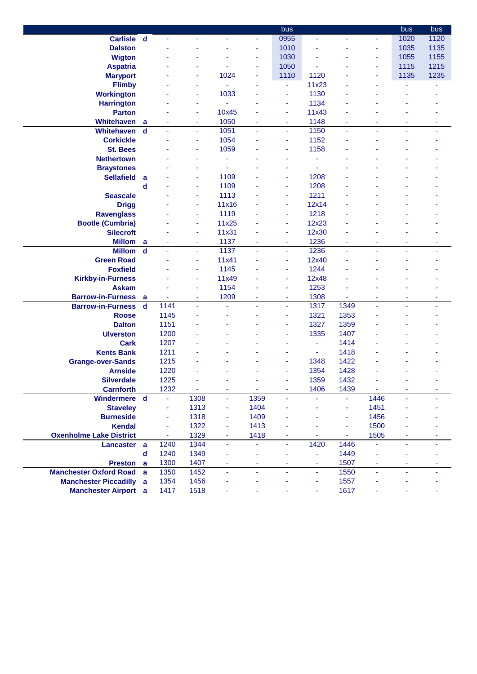|                                |                         |                |         |                |      | bus    |                |         |                | bus  | bus  |
|--------------------------------|-------------------------|----------------|---------|----------------|------|--------|----------------|---------|----------------|------|------|
| <b>Carlisle</b>                | $\mathbf d$             | ä,             | ä,      |                | Ξ    | 0955   | ÷,             | ä,      | ÷              | 1020 | 1120 |
| <b>Dalston</b>                 |                         |                |         |                | ÷    | 1010   |                |         |                | 1035 | 1135 |
| <b>Wigton</b>                  |                         |                |         |                | ٠    | 1030   |                |         | ٠              | 1055 | 1155 |
| <b>Aspatria</b>                |                         |                | ٠       |                | ٠    | 1050   |                |         | ٠              | 1115 | 1215 |
| <b>Maryport</b>                |                         |                | ٠       | 1024           | ÷    | 1110   | 1120           |         | ٠              | 1135 | 1235 |
| <b>Flimby</b>                  |                         |                | ÷       |                |      | ٠      | 11x23          |         |                |      |      |
| <b>Workington</b>              |                         |                | ä,      | 1033           |      | ä,     | 1130           |         |                |      |      |
| <b>Harrington</b>              |                         |                | ÷       |                |      | ÷      | 1134           |         |                |      |      |
| <b>Parton</b>                  |                         |                | ÷       | 10x45          |      | ٠      | 11x43          |         |                |      |      |
| <b>Whitehaven</b>              |                         |                |         | 1050           | ٠    |        | 1148           |         |                |      |      |
| <b>Whitehaven</b>              | a<br>$\mathbf d$        |                | ٠<br>ä, | 1051           |      | ۰<br>Ξ | 1150           | ٠<br>ä, | ٠              | ۰    | ٠    |
|                                |                         |                |         | 1054           |      |        |                |         |                |      |      |
| <b>Corkickle</b>               |                         |                | ÷       |                |      | ٠      | 1152           |         |                |      |      |
| <b>St. Bees</b>                |                         |                | ٠       | 1059           |      | ٠      | 1158           |         |                |      |      |
| <b>Nethertown</b>              |                         |                |         |                |      |        |                |         |                |      |      |
| <b>Braystones</b>              |                         |                | ٠       |                |      |        |                |         |                |      |      |
| <b>Sellafield</b>              | a                       |                | ٠       | 1109           |      | ۰      | 1208           |         |                |      |      |
|                                | d                       |                | ÷       | 1109           |      | ۰      | 1208           |         |                |      |      |
| <b>Seascale</b>                |                         |                | ÷       | 1113           |      | ٠      | 1211           |         |                |      |      |
| <b>Drigg</b>                   |                         |                | ٠       | 11x16          |      | ۰      | 12x14          |         |                |      |      |
| <b>Ravenglass</b>              |                         |                | ä,      | 1119           |      | ٠      | 1218           |         |                |      |      |
| <b>Bootle (Cumbria)</b>        |                         |                | ÷       | 11x25          |      | ÷      | 12x23          |         |                |      |      |
| <b>Silecroft</b>               |                         |                | ٠       | 11x31          |      | ٠      | 12x30          |         |                |      |      |
| <b>Millom</b>                  | a                       |                | ÷       | 1137           | ٠    | ٠      | 1236           | ٠       | ۰              | ٠    | ٠    |
| <b>Millom</b>                  | $\mathbf d$             |                | ÷       | 1137           |      | ٠      | 1236           | ä,      |                |      |      |
| <b>Green Road</b>              |                         |                | ÷       | 11x41          |      | ٠      | 12x40          |         |                |      |      |
| <b>Foxfield</b>                |                         |                | ٠       | 1145           |      | ٠      | 1244           |         |                |      |      |
| <b>Kirkby-in-Furness</b>       |                         |                | ÷       | 11x49          |      | ٠      | 12x48          |         |                |      |      |
| <b>Askam</b>                   |                         |                | ÷       | 1154           |      | ٠      | 1253           |         |                |      |      |
| <b>Barrow-in-Furness</b>       | a                       | ٠              | ٠       | 1209           | ٠    | ٠      | 1308           | ٠       | ٠              | ٠    | ۰    |
| <b>Barrow-in-Furness</b>       | $\overline{\mathbf{d}}$ | 1141           | ÷       | ä,             | ä,   | ٠      | 1317           | 1349    | ä,             | ä,   | ä,   |
| <b>Roose</b>                   |                         | 1145           |         |                |      | ٠      | 1321           | 1353    |                |      |      |
| <b>Dalton</b>                  |                         | 1151           |         |                |      | ۰      | 1327           | 1359    |                |      |      |
| <b>Ulverston</b>               |                         | 1200           |         |                |      |        | 1335           | 1407    |                |      |      |
| <b>Cark</b>                    |                         | 1207           |         |                |      |        | ä,             | 1414    |                |      |      |
| <b>Kents Bank</b>              |                         | 1211           |         |                |      | ٠      | ä,             | 1418    |                |      |      |
| <b>Grange-over-Sands</b>       |                         | 1215           |         |                |      | ٠      | 1348           | 1422    |                |      |      |
| <b>Arnside</b>                 |                         | 1220           |         |                |      | ÷      | 1354           | 1428    |                |      |      |
| <b>Silverdale</b>              |                         | 1225           |         |                |      | ٠      | 1359           | 1432    |                |      |      |
| <b>Carnforth</b>               |                         | 1232           | ä,      | $\blacksquare$ | ÷,   | Ξ      | 1406           | 1439    | $\omega$       | Ξ    | ٠    |
| Windermere d                   |                         | ä,             | 1308    | ä,             | 1359 | ä,     | ä,             | ÷.      | 1446           | ä,   | ÷.   |
| <b>Staveley</b>                |                         | $\blacksquare$ | 1313    | Ξ              | 1404 | ۰      |                | ÷,      | 1451           |      |      |
| <b>Burneside</b>               |                         | ÷              | 1318    | ÷              | 1409 | ۰      | ä,             | ÷,      | 1456           | ٠    |      |
| <b>Kendal</b>                  |                         | ÷,             | 1322    |                | 1413 |        |                | ÷,      | 1500           |      |      |
|                                |                         |                |         | ٠              |      |        |                |         |                |      |      |
| <b>Oxenholme Lake District</b> |                         | ۰              | 1329    | ٠              | 1418 | ٠      |                | ۰       | 1505           | ۰    | ۰    |
| Lancaster a                    |                         | 1240           | 1344    | ÷              | ÷    | Ξ      | 1420           | 1446    |                | ä,   | ä,   |
|                                | $\mathbf d$             | 1240           | 1349    |                |      | ÷      | ä,             | 1449    |                |      |      |
| Preston a                      |                         | 1300           | 1407    | ٠              | ٠    | ٠      | $\blacksquare$ | 1507    | ä,             | ä,   |      |
| <b>Manchester Oxford Road</b>  | a                       | 1350           | 1452    | ÷,             | ä,   | ÷      | ä              | 1550    | $\blacksquare$ | ä,   | ٠    |
| <b>Manchester Piccadilly a</b> |                         | 1354           | 1456    | ä,             |      | ٠      | $\blacksquare$ | 1557    | ä,             |      |      |
| <b>Manchester Airport</b> a    |                         | 1417           | 1518    | ä,             |      | ä,     | ÷              | 1617    | ä,             | ٠    |      |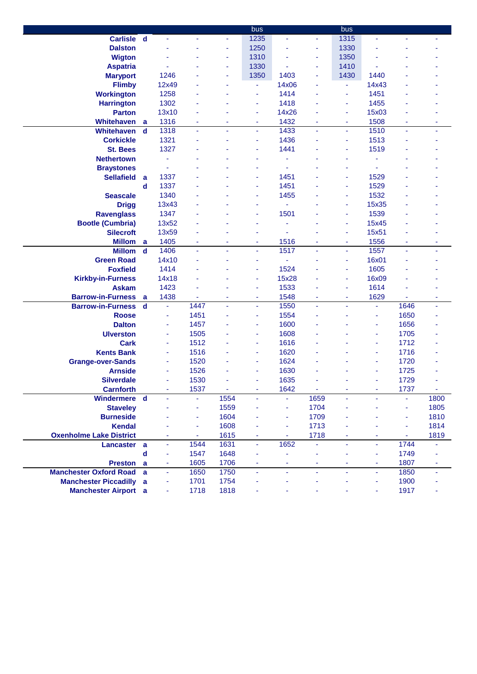|                                |             |                |                          |          | bus  |                          |                | bus  |                          |                |      |
|--------------------------------|-------------|----------------|--------------------------|----------|------|--------------------------|----------------|------|--------------------------|----------------|------|
| Carlisle d                     |             | ÷,             | ä,                       | ÷.       | 1235 | ÷.                       | $\omega$       | 1315 | L,                       | ÷.             |      |
| <b>Dalston</b>                 |             |                |                          |          | 1250 |                          | ÷              | 1330 |                          |                |      |
| <b>Wigton</b>                  |             |                |                          | ٠        | 1310 |                          | ÷              | 1350 |                          |                |      |
| <b>Aspatria</b>                |             |                |                          | ٠        | 1330 |                          | $\blacksquare$ | 1410 |                          |                |      |
| <b>Maryport</b>                |             | 1246           |                          | ٠        | 1350 | 1403                     | ÷              | 1430 | 1440                     |                |      |
| <b>Flimby</b>                  |             | 12x49          |                          |          | ٠    | 14x06                    |                | ÷,   | 14x43                    |                |      |
| <b>Workington</b>              |             | 1258           |                          |          | ä,   | 1414                     |                | ä,   | 1451                     |                |      |
| <b>Harrington</b>              |             | 1302           |                          |          | ä,   | 1418                     |                | ä,   | 1455                     |                |      |
| <b>Parton</b>                  |             | 13x10          |                          |          | ÷    | 14x26                    |                | ٠    | 15x03                    |                |      |
| <b>Whitehaven</b>              | a           | 1316           | ٠                        | ٠        | ÷    | 1432                     | ٠              | ٠    | 1508                     | ٠              | ٠    |
| Whitehaven                     | $\mathbf d$ | 1318           | $\tilde{\phantom{a}}$    |          | ä,   | 1433                     | ä,             | ä,   | 1510                     | ÷,             |      |
| <b>Corkickle</b>               |             | 1321           | ä,                       |          | ÷    | 1436                     |                | ٠    | 1513                     |                |      |
| <b>St. Bees</b>                |             | 1327           |                          |          | ä,   | 1441                     |                | ä    | 1519                     |                |      |
| <b>Nethertown</b>              |             | ä,             |                          |          | ä,   | ä                        |                | ٠    |                          |                |      |
| <b>Braystones</b>              |             | ä,             |                          |          | ä,   | ٠                        |                | ٠    | ä,                       |                |      |
| <b>Sellafield</b>              | a           | 1337           |                          |          | ÷    | 1451                     |                | ٠    | 1529                     |                |      |
|                                | d           | 1337           |                          |          | Ξ    | 1451                     |                |      | 1529                     |                |      |
|                                |             |                |                          |          |      |                          |                | ٠    |                          |                |      |
| <b>Seascale</b>                |             | 1340           |                          |          | Ξ    | 1455                     |                | ٠    | 1532                     |                |      |
| <b>Drigg</b>                   |             | 13x43          |                          |          | ÷    |                          |                | ۰    | 15x35                    |                |      |
| <b>Ravenglass</b>              |             | 1347           |                          |          | ä,   | 1501                     |                | ÷    | 1539                     |                |      |
| <b>Bootle (Cumbria)</b>        |             | 13x52          |                          |          |      | Ĭ.                       |                | ÷    | 15x45                    |                |      |
| <b>Silecroft</b>               |             | 13x59          |                          |          | ٠    |                          |                | ä    | 15x51                    |                |      |
| <b>Millom</b>                  | a           | 1405           | $\sim$                   |          | ٠    | 1516                     |                | ٠    | 1556                     | $\blacksquare$ | ٠    |
| <b>Millom</b>                  | d           | 1406           | $\blacksquare$           |          | ä,   | 1517                     |                | ä,   | 1557                     | ä,             |      |
| <b>Green Road</b>              |             | 14x10          |                          |          | ä,   |                          |                | ٠    | 16x01                    |                |      |
| <b>Foxfield</b>                |             | 1414           |                          |          | ä,   | 1524                     |                | ٠    | 1605                     |                |      |
| <b>Kirkby-in-Furness</b>       |             | 14x18          |                          |          | ä,   | 15x28                    |                | ä,   | 16x09                    |                |      |
| <b>Askam</b>                   |             | 1423           |                          |          | ä,   | 1533                     |                | ٠    | 1614                     |                |      |
| <b>Barrow-in-Furness</b>       | a           | 1438           | ٠                        | ٠        | ۰    | 1548                     | $\blacksquare$ | ٠    | 1629                     | $\blacksquare$ | ۰    |
| <b>Barrow-in-Furness</b>       | $\mathbf d$ | ä              | 1447                     | ÷        | ä,   | 1550                     | $\blacksquare$ | ä,   | $\omega$                 | 1646           | ٠    |
| <b>Roose</b>                   |             | ä,             | 1451                     |          | Ξ    | 1554                     |                |      | ۰                        | 1650           |      |
| <b>Dalton</b>                  |             | ä,             | 1457                     |          | Ξ    | 1600                     |                |      | ÷                        | 1656           |      |
| <b>Ulverston</b>               |             | ä,             | 1505                     |          | ä,   | 1608                     |                |      | ä,                       | 1705           |      |
| <b>Cark</b>                    |             | ÷              | 1512                     |          | Ξ    | 1616                     |                |      | ä,                       | 1712           |      |
| <b>Kents Bank</b>              |             | ä,             | 1516                     |          | ٠    | 1620                     |                |      | ä,                       | 1716           |      |
| <b>Grange-over-Sands</b>       |             | ä,             | 1520                     |          | ä,   | 1624                     |                |      | ä,                       | 1720           |      |
| <b>Arnside</b>                 |             | ä,             | 1526                     |          | ÷    | 1630                     |                |      | ٠                        | 1725           |      |
| <b>Silverdale</b>              |             | ä,             | 1530                     |          | ٠    | 1635                     |                |      | ä,                       | 1729           |      |
| <b>Carnforth</b>               |             | $\blacksquare$ | 1537                     | $\omega$ | ä,   | 1642                     | ä,             | ä,   | $\overline{\phantom{a}}$ | 1737           | ä,   |
| Windermere d                   |             | ä,             | $\blacksquare$           | 1554     | ä,   | ÷.                       | 1659           | L,   | ä,                       | $\blacksquare$ | 1800 |
| <b>Staveley</b>                |             |                | $\blacksquare$           | 1559     | ä,   | ٠                        | 1704           | ä    | ä,                       | ä,             | 1805 |
| <b>Burneside</b>               |             |                | $\blacksquare$           | 1604     | ä,   | ٠                        | 1709           | ä    | ä,                       | ÷              | 1810 |
| <b>Kendal</b>                  |             |                | $\overline{\phantom{a}}$ | 1608     | ä,   | ä,                       | 1713           |      |                          | ä,             | 1814 |
| <b>Oxenholme Lake District</b> |             | ۰              | ٠                        | 1615     | ۰    |                          | 1718           | ۰    | ۰                        | ٠              | 1819 |
| Lancaster a                    |             | ÷              | 1544                     | 1631     | ÷    | 1652                     | ÷              | ÷,   | ä                        | 1744           |      |
|                                | d           |                | 1547                     | 1648     | ä,   |                          |                | ä,   | ä,                       | 1749           |      |
| Preston a                      |             | ä,             | 1605                     | 1706     | ٠    | $\overline{\phantom{a}}$ | $\blacksquare$ | ٠    | $\overline{\phantom{a}}$ | 1807           | ÷    |
| <b>Manchester Oxford Road</b>  | a           | ä,             | 1650                     | 1750     | ä,   | $\blacksquare$           | ä,             | ä,   | $\blacksquare$           | 1850           | ٠    |
| <b>Manchester Piccadilly</b>   | a           | Ξ              | 1701                     | 1754     | ä,   | ä,                       | ÷              | ä,   | ٠                        | 1900           |      |
| <b>Manchester Airport</b> a    |             | ÷              | 1718                     | 1818     | ä,   | ÷                        | ÷              | ä,   | Ξ                        | 1917           | ÷    |
|                                |             |                |                          |          |      |                          |                |      |                          |                |      |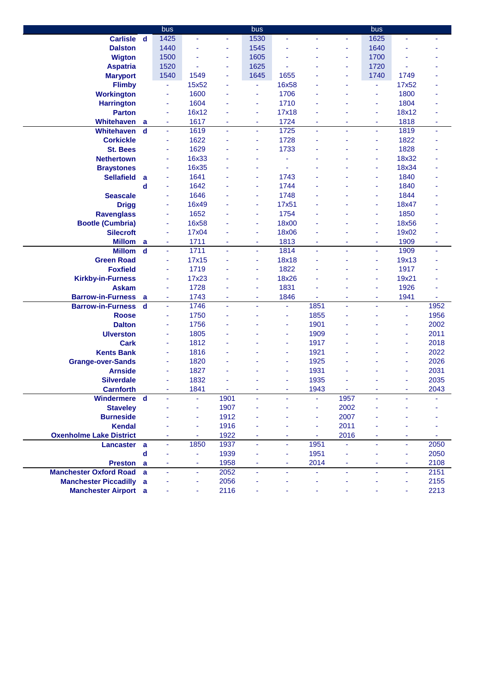|                                                      |             | bus                      |                |      | bus            |       |                          |      | bus     |                |      |
|------------------------------------------------------|-------------|--------------------------|----------------|------|----------------|-------|--------------------------|------|---------|----------------|------|
| <b>Carlisle</b>                                      | $\mathbf d$ | 1425                     | ä,             | ٠    | 1530           | Ξ     |                          | ٠    | 1625    | ä,             |      |
| <b>Dalston</b>                                       |             | 1440                     | $\blacksquare$ | ä,   | 1545           |       |                          | ä,   | 1640    |                |      |
| <b>Wigton</b>                                        |             | 1500                     |                | ä,   | 1605           |       |                          | ä,   | 1700    |                |      |
| <b>Aspatria</b>                                      |             | 1520                     | ä,             | ä,   | 1625           |       |                          | ä,   | 1720    |                |      |
| <b>Maryport</b>                                      |             | 1540                     | 1549           | ÷    | 1645           | 1655  |                          | ä,   | 1740    | 1749           |      |
| <b>Flimby</b>                                        |             | $\blacksquare$           | 15x52          | ٠    | ÷              | 16x58 |                          | ۰    | ٠       | 17x52          |      |
| <b>Workington</b>                                    |             | ä,                       | 1600           |      | ä,             | 1706  |                          | ٠    | ÷       | 1800           |      |
| <b>Harrington</b>                                    |             | ×                        | 1604           |      | Ξ              | 1710  |                          |      | ä,      | 1804           |      |
| <b>Parton</b>                                        |             | ÷                        | 16x12          |      | ۰              | 17x18 |                          |      | ä,      | 18x12          |      |
| <b>Whitehaven</b>                                    | a           | ÷                        | 1617           |      | Ξ              | 1724  |                          | ٠    | ٠       | 1818           | ÷    |
| <b>Whitehaven</b>                                    | d           | $\blacksquare$           | 1619           | ä,   | ٠              | 1725  |                          | ä,   | ä,      | 1819           | ٠    |
| <b>Corkickle</b>                                     |             | ÷,                       | 1622           |      | ä,             | 1728  |                          | ٠    | ÷       | 1822           |      |
| <b>St. Bees</b>                                      |             | ÷,                       | 1629           |      | ä,             | 1733  |                          |      | ä,      | 1828           |      |
| <b>Nethertown</b>                                    |             | ÷,                       | 16x33          |      |                |       |                          |      | ä,      | 18x32          |      |
| <b>Braystones</b>                                    |             | ٠                        | 16x35          |      | ٠              |       |                          |      | ä,      | 18x34          |      |
| <b>Sellafield</b>                                    | a           | ÷,                       | 1641           |      | ä,             | 1743  |                          |      | ä,      | 1840           |      |
|                                                      | d           | ä,                       | 1642           |      | ä,             | 1744  |                          |      | ä,      | 1840           |      |
| <b>Seascale</b>                                      |             | ä,                       | 1646           |      | Ξ              | 1748  |                          |      | ä,      | 1844           |      |
| <b>Drigg</b>                                         |             | $\overline{\phantom{a}}$ | 16x49          |      | Ξ              | 17x51 |                          |      | ÷       | 18x47          |      |
| <b>Ravenglass</b>                                    |             | ä,                       | 1652           |      | Ξ              | 1754  |                          |      | ÷       | 1850           |      |
| <b>Bootle (Cumbria)</b>                              |             | ÷                        | 16x58          |      | Ξ              | 18x00 |                          |      | ä,      | 18x56          |      |
| <b>Silecroft</b>                                     |             | ÷                        | 17x04          |      | ٠              | 18x06 |                          |      | ä,      | 19x02          |      |
| <b>Millom</b>                                        | a           | ÷                        | 1711           |      | ÷              | 1813  |                          | ٠    | ä,      | 1909           |      |
| <b>Millom</b>                                        | d           | $\overline{\phantom{a}}$ | 1711           |      | ٠              | 1814  |                          | ÷    | ÷       | 1909           | ٠    |
| <b>Green Road</b>                                    |             | $\blacksquare$           | 17x15          |      | ٠              | 18x18 |                          |      | ä,      | 19x13          |      |
| <b>Foxfield</b>                                      |             | $\blacksquare$           | 1719           |      | ÷              | 1822  |                          |      | ä,      | 1917           |      |
| <b>Kirkby-in-Furness</b>                             |             | ÷                        | 17x23          |      | ÷              | 18x26 |                          |      | ä,      | 19x21          |      |
| <b>Askam</b>                                         |             | $\blacksquare$           | 1728           |      | ä,             | 1831  |                          |      | ä,      | 1926           |      |
|                                                      |             | ÷,                       | 1743           | ä,   | ä,             | 1846  |                          | ä    | ä,      | 1941           |      |
| <b>Barrow-in-Furness</b><br><b>Barrow-in-Furness</b> | a<br>d      | ä,                       | 1746           | ä,   | ÷              | ٠     | 1851                     | ä,   | ä,      | ÷.             | 1952 |
| <b>Roose</b>                                         |             | ä,                       | 1750           |      |                | ۰     | 1855                     | ٠    |         | ä,             | 1956 |
| <b>Dalton</b>                                        |             | ä,                       | 1756           |      |                | ÷     | 1901                     |      |         | ä,             | 2002 |
| <b>Ulverston</b>                                     |             | ä,                       | 1805           |      |                | ÷     | 1909                     |      |         | ÷              | 2011 |
| <b>Cark</b>                                          |             | ÷                        | 1812           |      |                | ٠     | 1917                     |      |         | ÷              | 2018 |
| <b>Kents Bank</b>                                    |             | $\blacksquare$           | 1816           |      |                | ٠     | 1921                     |      |         | $\blacksquare$ | 2022 |
| <b>Grange-over-Sands</b>                             |             | ÷                        | 1820           |      |                |       | 1925                     |      |         |                | 2026 |
| <b>Arnside</b>                                       |             | ä,                       | 1827           |      |                |       | 1931                     |      |         | ÷,             | 2031 |
| <b>Silverdale</b>                                    |             |                          | 1832           |      |                | ä,    | 1935                     |      |         |                | 2035 |
| <b>Carnforth</b>                                     |             |                          | 1841           | ٠    | ٠              | ٠     | 1943                     | ÷    | ٠       |                | 2043 |
| Windermere d                                         |             |                          |                | 1901 | ÷              |       | ä,                       | 1957 |         |                |      |
| <b>Staveley</b>                                      |             |                          | ÷              | 1907 |                |       | $\blacksquare$           | 2002 |         |                |      |
| <b>Burneside</b>                                     |             |                          | ÷              | 1912 |                |       | $\overline{\phantom{a}}$ | 2007 |         |                |      |
| <b>Kendal</b>                                        |             |                          | ÷              | 1916 |                |       | ÷                        | 2011 |         |                |      |
| <b>Oxenholme Lake District</b>                       |             | ٠                        | ٠              | 1922 | ٠              | ٠     | $\blacksquare$           | 2016 | ٠       | ٠              |      |
|                                                      |             | $\blacksquare$           | 1850           | 1937 | $\blacksquare$ | Ξ     | 1951                     | ä,   | ٠       | $\blacksquare$ | 2050 |
| Lancaster a                                          |             |                          |                | 1939 |                |       | 1951                     |      |         | ٠              | 2050 |
| <b>Preston</b>                                       | d           |                          | ÷              | 1958 |                | ÷     | 2014                     | ä,   |         |                | 2108 |
| <b>Manchester Oxford Road</b>                        | a           | ×                        | ۰              | 2052 | ۰              | ٠     |                          | ÷    | ۰<br>÷. | ٠              |      |
|                                                      | a           | $\overline{\phantom{a}}$ | $\blacksquare$ | 2056 | Ξ              | ä,    | $\blacksquare$           | ä,   |         | $\blacksquare$ | 2151 |
| <b>Manchester Piccadilly</b>                         | a           |                          | ÷              |      |                |       |                          |      |         |                | 2155 |
| <b>Manchester Airport</b> a                          |             |                          |                | 2116 |                |       |                          |      |         |                | 2213 |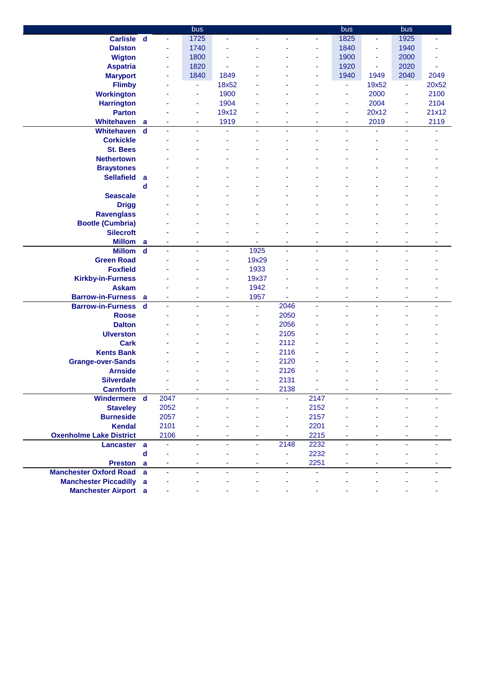|                                |                         |                | bus            |                |       |      |                | bus  |        | bus  |       |
|--------------------------------|-------------------------|----------------|----------------|----------------|-------|------|----------------|------|--------|------|-------|
| Carlisle d                     |                         | ä,             | 1725           | ÷              | ٠     | ٠    | ÷              | 1825 | ٠      | 1925 | Ξ     |
| <b>Dalston</b>                 |                         | ٠              | 1740           |                |       |      | ٠              | 1840 | ٠      | 1940 |       |
| <b>Wigton</b>                  |                         | ۰              | 1800           |                |       |      | ٠              | 1900 | ۰      | 2000 |       |
| <b>Aspatria</b>                |                         | ٠              | 1820           |                |       |      | ٠              | 1920 | ٠      | 2020 |       |
| <b>Maryport</b>                |                         | ٠              | 1840           | 1849           |       |      | ä,             | 1940 | 1949   | 2040 | 2049  |
| <b>Flimby</b>                  |                         |                | ٠              | 18x52          |       |      | ä,             | ÷    | 19x52  | Ξ    | 20x52 |
| <b>Workington</b>              |                         |                | ۰              | 1900           |       |      |                | ä,   | 2000   | ä,   | 2100  |
| <b>Harrington</b>              |                         |                | ÷              | 1904           |       |      |                | ÷    | 2004   | ٠    | 2104  |
| <b>Parton</b>                  |                         |                | ÷              | 19x12          |       |      |                | ÷    | 20x12  | ä,   | 21x12 |
| Whitehaven                     | a                       |                | ÷              | 1919           |       | ÷    |                | ٠    | 2019   | ÷    | 2119  |
| Whitehaven                     | $\mathbf d$             |                | $\blacksquare$ |                |       | ٠    |                | ٠    |        |      | ٠     |
| <b>Corkickle</b>               |                         |                | ٠              |                |       | ä,   |                |      |        |      |       |
| <b>St. Bees</b>                |                         |                |                |                |       |      |                |      |        |      |       |
| <b>Nethertown</b>              |                         |                |                |                |       |      |                |      |        |      |       |
| <b>Braystones</b>              |                         |                |                |                |       |      |                |      |        |      |       |
| <b>Sellafield</b>              | a                       |                |                |                |       |      |                |      |        |      |       |
|                                | d                       |                |                |                |       |      |                |      |        |      |       |
| <b>Seascale</b>                |                         |                |                |                |       |      |                |      |        |      |       |
| <b>Drigg</b>                   |                         |                |                |                |       |      |                |      |        |      |       |
| <b>Ravenglass</b>              |                         |                |                |                |       |      |                |      |        |      |       |
| <b>Bootle (Cumbria)</b>        |                         |                |                |                |       |      |                |      |        |      |       |
| <b>Silecroft</b>               |                         |                |                |                |       |      |                |      |        |      |       |
| <b>Millom</b>                  | a                       |                |                |                |       | ۳    |                |      |        |      |       |
| <b>Millom</b>                  | $\mathbf d$             |                |                |                | 1925  | ä,   |                |      |        |      |       |
| <b>Green Road</b>              |                         |                |                |                | 19x29 |      |                |      |        |      |       |
| <b>Foxfield</b>                |                         |                |                | ä,             | 1933  |      |                |      |        |      |       |
| <b>Kirkby-in-Furness</b>       |                         |                |                | ٠              | 19x37 |      |                |      |        |      |       |
| <b>Askam</b>                   |                         |                |                | ä,             | 1942  |      |                |      |        |      |       |
| <b>Barrow-in-Furness</b>       | a                       |                |                | ÷              | 1957  | ä,   |                |      |        | ÷    |       |
| <b>Barrow-in-Furness</b>       | $\overline{\mathbf{d}}$ | ä,             | ۰              | ÷              | ä,    | 2046 | ä,             | ٠    | ٠      | ÷.   | ٠     |
| <b>Roose</b>                   |                         |                |                |                | ÷     | 2050 |                |      |        |      |       |
| <b>Dalton</b>                  |                         |                |                |                | ÷     | 2056 |                |      |        |      |       |
| <b>Ulverston</b>               |                         |                |                |                | ÷     | 2105 |                |      |        |      |       |
| <b>Cark</b>                    |                         |                |                |                | ٠     | 2112 |                |      |        |      |       |
| <b>Kents Bank</b>              |                         |                |                |                | ÷     | 2116 |                |      |        |      |       |
| <b>Grange-over-Sands</b>       |                         |                |                |                |       | 2120 |                |      |        |      |       |
| <b>Arnside</b>                 |                         |                |                |                |       | 2126 |                |      |        |      |       |
| <b>Silverdale</b>              |                         |                |                |                |       | 2131 |                |      |        |      |       |
| <b>Carnforth</b>               |                         | ÷              | ٠              |                |       | 2138 | $\blacksquare$ |      |        |      |       |
| Windermere d                   |                         | 2047           | ÷.             |                |       | ä,   | 2147           | ä,   |        |      |       |
| <b>Staveley</b>                |                         | 2052           | ä,             |                |       | ٠    | 2152           |      |        |      |       |
| <b>Burneside</b>               |                         | 2057           | ä,             |                |       | ٠    | 2157           |      |        |      |       |
| <b>Kendal</b>                  |                         | 2101           |                |                |       | ٠    | 2201           |      |        |      |       |
| <b>Oxenholme Lake District</b> |                         | 2106           | ٠              |                | ٠     | ٠    | 2215           | ٠    | ٠      | ٠    | ٠     |
| Lancaster a                    |                         | ä,             | $\blacksquare$ | ٠              | ٠     | 2148 | 2232           | ÷,   | $\sim$ | ٠    |       |
|                                | $\mathbf d$             |                | ÷              |                | ٠     | ٠    | 2232           |      |        |      |       |
| Preston a                      |                         | ÷              | ä,             | $\blacksquare$ | ä,    | Ξ    | 2251           | ÷    | ٠      | ä,   |       |
| <b>Manchester Oxford Road</b>  | a                       | $\blacksquare$ | $\blacksquare$ | ÷              | ٠     | ٠    | ÷,             | ä,   | ä,     | ÷    |       |
| <b>Manchester Piccadilly</b>   | a                       |                |                |                |       | ٠    | ÷.             |      |        |      |       |
|                                |                         |                |                |                |       |      |                |      |        |      |       |
| <b>Manchester Airport</b> a    |                         |                |                |                |       |      |                |      |        |      |       |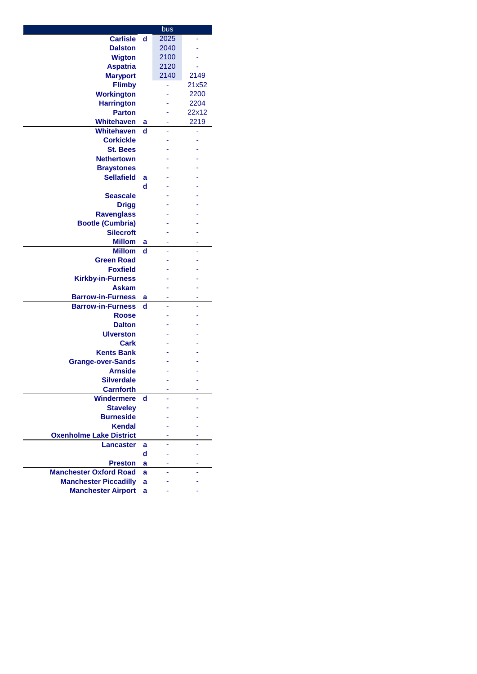|                                |        | bus  |       |
|--------------------------------|--------|------|-------|
| <b>Carlisle</b>                | d      | 2025 |       |
| <b>Dalston</b>                 |        | 2040 |       |
| <b>Wigton</b>                  |        | 2100 |       |
| <b>Aspatria</b>                |        | 2120 |       |
| <b>Maryport</b>                |        | 2140 | 2149  |
| <b>Flimby</b>                  |        |      | 21x52 |
| <b>Workington</b>              |        |      | 2200  |
| <b>Harrington</b>              |        |      | 2204  |
| <b>Parton</b>                  |        |      | 22x12 |
| <b>Whitehaven</b>              | a      |      | 2219  |
| <b>Whitehaven</b>              | d      | L    |       |
| <b>Corkickle</b>               |        |      |       |
| <b>St. Bees</b>                |        |      |       |
| <b>Nethertown</b>              |        |      |       |
| <b>Braystones</b>              |        |      |       |
| <b>Sellafield</b>              |        |      |       |
|                                | a<br>d |      |       |
|                                |        |      |       |
| <b>Seascale</b>                |        |      |       |
| <b>Drigg</b>                   |        |      |       |
| <b>Ravenglass</b>              |        |      |       |
| <b>Bootle (Cumbria)</b>        |        |      |       |
| <b>Silecroft</b>               |        |      |       |
| <b>Millom</b>                  | а      |      |       |
| <b>Millom</b>                  | d      |      |       |
| <b>Green Road</b>              |        |      |       |
| <b>Foxfield</b>                |        |      |       |
| <b>Kirkby-in-Furness</b>       |        |      |       |
| <b>Askam</b>                   |        |      |       |
| <b>Barrow-in-Furness</b>       | а      |      |       |
| <b>Barrow-in-Furness</b>       | d      |      |       |
| <b>Roose</b>                   |        |      |       |
| <b>Dalton</b>                  |        |      |       |
| <b>Ulverston</b>               |        |      |       |
| Cark                           |        |      |       |
| <b>Kents Bank</b>              |        |      |       |
| <b>Grange-over-Sands</b>       |        |      |       |
| <b>Arnside</b>                 |        |      |       |
| Silverdale                     |        |      |       |
| <b>Carnforth</b>               |        |      |       |
| <b>Windermere</b>              | d      |      |       |
| <b>Stavelev</b>                |        |      |       |
| <b>Burneside</b>               |        |      |       |
| <b>Kendal</b>                  |        |      |       |
| <b>Oxenholme Lake District</b> |        |      |       |
| <b>Lancaster</b>               | a      |      |       |
|                                | d      |      |       |
| <b>Preston</b>                 | a      |      |       |
| <b>Manchester Oxford Road</b>  | a      |      |       |
| <b>Manchester Piccadilly</b>   |        |      |       |
|                                | a      |      |       |
| <b>Manchester Airport</b>      | a      |      |       |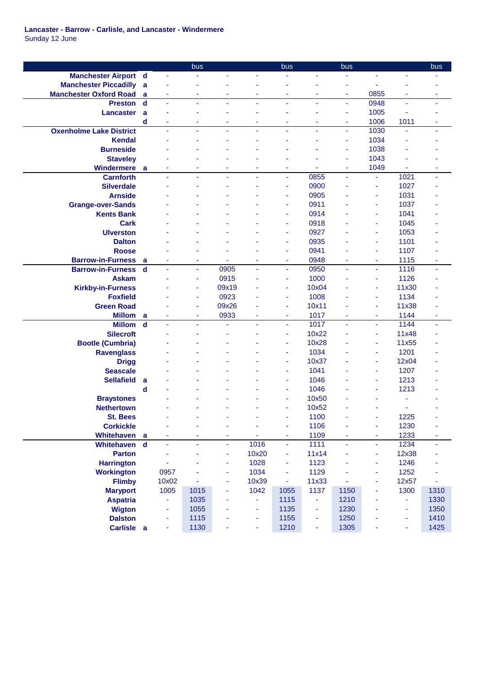**Lancaster - Barrow - Carlisle, and Lancaster - Windermere** Sunday 12 June

|                                |             |                          | bus            |       |       | bus            |                | bus  |                          |       | bus  |
|--------------------------------|-------------|--------------------------|----------------|-------|-------|----------------|----------------|------|--------------------------|-------|------|
| <b>Manchester Airport d</b>    |             | $\overline{\phantom{a}}$ |                |       | ä,    |                |                |      | ä,                       |       |      |
| <b>Manchester Piccadilly</b>   | a           |                          |                |       |       |                |                | ٠    |                          |       |      |
| <b>Manchester Oxford Road</b>  | a           | ä,                       | ٠              |       | ä,    | ٠              | $\blacksquare$ | ٠    | 0855                     | ÷     | ٠    |
| <b>Preston</b>                 | $\mathbf d$ | ä,                       | ÷,             |       | ä,    | ÷,             | ä,             | Ξ    | 0948                     | ä,    | ä,   |
| Lancaster                      | a           |                          |                |       | ä     |                |                | ä,   | 1005                     | ä,    |      |
|                                | d           | ä,                       |                |       | ä,    | ٠              |                | ۰    | 1006                     | 1011  | ٠    |
| <b>Oxenholme Lake District</b> |             | ä,                       | $\blacksquare$ | ÷     | ٠     | $\blacksquare$ | ä,             | Ξ    | 1030                     | ÷.    | ٠    |
| <b>Kendal</b>                  |             |                          |                |       |       |                |                | ٠    | 1034                     |       |      |
| <b>Burneside</b>               |             |                          |                |       |       |                |                | ٠    | 1038                     |       |      |
| <b>Staveley</b>                |             |                          |                |       |       |                |                | ÷    | 1043                     |       |      |
| <b>Windermere</b>              | a           |                          |                |       | ۰     | ٠              |                | ۰    | 1049                     |       | ۰    |
| <b>Carnforth</b>               |             |                          |                |       | L     | $\blacksquare$ | 0855           | ä,   | $\blacksquare$           | 1021  |      |
| <b>Silverdale</b>              |             |                          |                |       |       | ä              | 0900           |      | ä                        | 1027  |      |
| <b>Arnside</b>                 |             |                          |                |       |       |                | 0905           |      | í,                       | 1031  |      |
| <b>Grange-over-Sands</b>       |             |                          |                |       |       | ٠              | 0911           |      | $\blacksquare$           | 1037  |      |
| <b>Kents Bank</b>              |             |                          |                |       |       | ٠              | 0914           |      | $\blacksquare$           | 1041  |      |
| <b>Cark</b>                    |             |                          |                |       |       | ä              | 0918           |      | ä,                       | 1045  |      |
| <b>Ulverston</b>               |             |                          |                |       |       | ٠              | 0927           |      | ä,                       | 1053  |      |
| <b>Dalton</b>                  |             |                          |                |       |       | ä              | 0935           |      | ä,                       | 1101  |      |
| <b>Roose</b>                   |             |                          |                |       |       | ä              | 0941           |      | ä,                       | 1107  |      |
| <b>Barrow-in-Furness</b>       | a           | ä,                       | ٠              |       | ÷     | ä,             | 0948           | ٠    | ٠                        | 1115  |      |
| <b>Barrow-in-Furness</b>       | d           | ä,                       | $\blacksquare$ | 0905  | ÷.    | $\blacksquare$ | 0950           | ÷,   | ä,                       | 1116  | ٠    |
| <b>Askam</b>                   |             |                          | ٠              | 0915  | ä,    | ÷              | 1000           |      | ÷                        | 1126  |      |
| <b>Kirkby-in-Furness</b>       |             |                          | ÷              | 09x19 |       | ۰              | 10x04          |      | ä,                       | 11x30 |      |
| <b>Foxfield</b>                |             |                          | ٠              | 0923  |       | ٠              | 1008           |      | ×,                       | 1134  |      |
| <b>Green Road</b>              |             |                          |                | 09x26 |       | ä,             | 10x11          |      | ä,                       | 11x38 |      |
| <b>Millom</b>                  | a           |                          | $\blacksquare$ | 0933  | ٠     | ÷              | 1017           | ä    | ä,                       | 1144  |      |
| <b>Millom</b>                  | $\mathbf d$ |                          | ÷,             |       |       | $\blacksquare$ | 1017           | ä,   | ä,                       | 1144  |      |
| <b>Silecroft</b>               |             |                          |                |       |       | ٠              | 10x22          |      | ÷,                       | 11x48 |      |
| <b>Bootle (Cumbria)</b>        |             |                          |                |       |       | ٠              | 10x28          |      | ×,                       | 11x55 |      |
| <b>Ravenglass</b>              |             |                          |                |       |       | ٠              | 1034           |      | ä,                       | 1201  |      |
| <b>Drigg</b>                   |             |                          |                |       |       | ٠              | 10x37          |      | ä,                       | 12x04 |      |
| <b>Seascale</b>                |             |                          |                |       |       |                | 1041           |      | ä,                       | 1207  |      |
| <b>Sellafield</b>              | a           |                          |                |       |       | ٠              | 1046           |      | ÷                        | 1213  |      |
|                                | d           |                          |                |       |       | ٠              | 1046           |      | ÷                        | 1213  |      |
| <b>Braystones</b>              |             |                          |                |       |       | ۰              | 10x50          |      |                          |       |      |
| <b>Nethertown</b>              |             |                          |                |       |       |                | 10x52          |      |                          |       |      |
| <b>St. Bees</b>                |             |                          |                |       |       |                | 1100           |      |                          | 1225  |      |
| <b>Corkickle</b>               |             |                          |                |       | i,    | ä,             | 1106           | ä,   | $\overline{\phantom{a}}$ | 1230  |      |
| Whitehaven a                   |             |                          | ä,             |       | ä,    | ٠              | 1109           | ٠    | ÷                        | 1233  |      |
| Whitehaven                     | $\mathbf d$ | ä,                       | ä,             | ÷,    | 1016  | $\blacksquare$ | 1111           | ÷.   | ä,                       | 1234  |      |
| <b>Parton</b>                  |             |                          |                | ä,    | 10x20 | $\blacksquare$ | 11x14          | ä,   | ٠                        | 12x38 |      |
| <b>Harrington</b>              |             |                          |                | ÷     | 1028  | $\blacksquare$ | 1123           |      | Ξ                        | 1246  |      |
| <b>Workington</b>              |             | 0957                     |                | ٠     | 1034  | Ξ              | 1129           | ä,   | $\blacksquare$           | 1252  |      |
| <b>Flimby</b>                  |             | 10x02                    | ä,             | ä,    | 10x39 | ä,             | 11x33          | ä,   | $\blacksquare$           | 12x57 | ä,   |
| <b>Maryport</b>                |             | 1005                     | 1015           | ٠     | 1042  | 1055           | 1137           | 1150 | ÷                        | 1300  | 1310 |
| <b>Aspatria</b>                |             | ÷,                       | 1035           | ٠     | ÷,    | 1115           | ÷.             | 1210 | ٠                        | ÷.    | 1330 |
| <b>Wigton</b>                  |             | ä,                       | 1055           |       | ä,    | 1135           | ÷              | 1230 | ä,                       | ä,    | 1350 |
| <b>Dalston</b>                 |             |                          | 1115           |       | ٠     | 1155           | ÷              | 1250 |                          | ÷     | 1410 |
| Carlisle a                     |             | ÷,                       | 1130           |       | ٠     | 1210           | ÷              | 1305 | ۰                        |       | 1425 |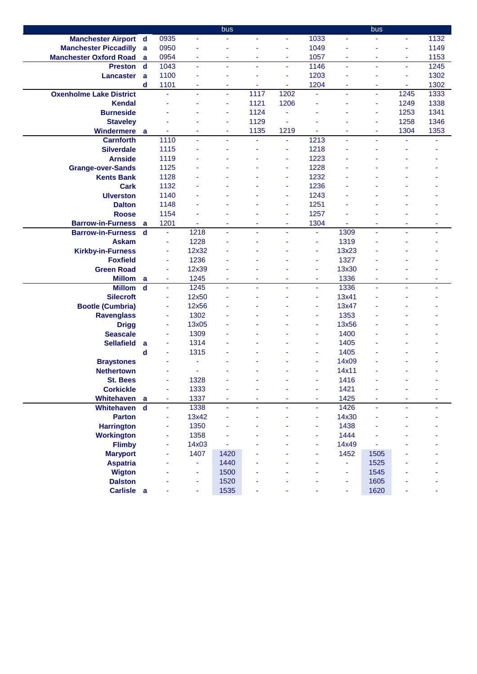|                                |             |                |                | bus            |      |                |      |                | bus            |      |      |
|--------------------------------|-------------|----------------|----------------|----------------|------|----------------|------|----------------|----------------|------|------|
| <b>Manchester Airport d</b>    |             | 0935           | ä,             |                | ÷.   | ÷              | 1033 | ä,             | ä,             | ÷.   | 1132 |
| <b>Manchester Piccadilly</b>   | a           | 0950           | ä,             |                |      | ÷              | 1049 | ä,             |                | ä,   | 1149 |
| <b>Manchester Oxford Road</b>  | a           | 0954           | ٠              | ٠              | ä,   | ۰              | 1057 | ٠              | ٠              | ٠    | 1153 |
| <b>Preston</b>                 | d           | 1043           | ä,             | $\blacksquare$ | ÷    | $\blacksquare$ | 1146 | Ξ              | $\blacksquare$ | Ξ    | 1245 |
| <b>Lancaster</b>               | a           | 1100           | ÷              |                | ÷    | ÷              | 1203 | ÷              |                | ÷    | 1302 |
|                                | d           | 1101           | ÷              | ۰              | ٠    | ٠              | 1204 | ٠              | ٠              | ٠    | 1302 |
| <b>Oxenholme Lake District</b> |             | $\blacksquare$ | ä,             | L,             | 1117 | 1202           | ä,   | ÷.             | ä,             | 1245 | 1333 |
| <b>Kendal</b>                  |             |                |                |                | 1121 | 1206           |      | ä,             | ä,             | 1249 | 1338 |
| <b>Burneside</b>               |             |                |                | ä,             | 1124 |                |      | Ĭ.             | ÷              | 1253 | 1341 |
| <b>Staveley</b>                |             |                |                | ٠              | 1129 |                |      |                | ٠              | 1258 | 1346 |
| <b>Windermere</b>              | a           |                | ٠              | ٠              | 1135 | 1219           | ÷    | ٠              | ٠              | 1304 | 1353 |
| <b>Carnforth</b>               |             | 1110           | ä,             | ÷              | ä,   | Ξ              | 1213 | ä,             | ÷              |      |      |
| <b>Silverdale</b>              |             | 1115           | $\blacksquare$ |                | ä,   | ٠              | 1218 | ä,             |                |      |      |
| <b>Arnside</b>                 |             | 1119           |                |                |      | ٠              | 1223 |                |                |      |      |
| <b>Grange-over-Sands</b>       |             | 1125           |                |                |      | ÷              | 1228 |                |                |      |      |
| <b>Kents Bank</b>              |             | 1128           |                |                |      | ٠              | 1232 |                |                |      |      |
| <b>Cark</b>                    |             | 1132           |                |                |      | ٠              | 1236 |                |                |      |      |
| <b>Ulverston</b>               |             | 1140           |                |                |      |                | 1243 |                |                |      |      |
|                                |             | 1148           |                |                |      | ۰              | 1251 |                |                |      |      |
| <b>Dalton</b>                  |             |                |                |                |      | ٠              |      |                |                |      |      |
| <b>Roose</b>                   |             | 1154           |                |                |      |                | 1257 |                |                |      |      |
| <b>Barrow-in-Furness</b>       | a           | 1201           |                |                |      | ÷              | 1304 |                |                |      |      |
| <b>Barrow-in-Furness</b>       | $\mathbf d$ | $\blacksquare$ | 1218           |                |      | ٠              | ÷,   | 1309           | ÷.             |      |      |
| <b>Askam</b>                   |             | ÷,             | 1228           |                |      |                | ä,   | 1319           |                |      |      |
| <b>Kirkby-in-Furness</b>       |             | ÷              | 12x32          |                |      |                | ä,   | 13x23          |                |      |      |
| <b>Foxfield</b>                |             | ÷              | 1236           |                |      |                | ÷    | 1327           |                |      |      |
| <b>Green Road</b>              |             | ä,             | 12x39          |                |      |                | ä,   | 13x30          |                |      |      |
| <b>Millom</b>                  | a           | ä,             | 1245           | ä,             | ä,   | ٠              | Ξ    | 1336           | ä,             |      |      |
| <b>Millom</b>                  | $\mathbf d$ | ä,             | 1245           | ä,             | ÷    | $\blacksquare$ | ä,   | 1336           | ÷,             | ÷.   | ٠    |
| <b>Silecroft</b>               |             | $\blacksquare$ | 12x50          |                |      |                | Ξ    | 13x41          |                |      |      |
| <b>Bootle (Cumbria)</b>        |             | ä,             | 12x56          |                |      |                | ٠    | 13x47          |                |      |      |
| <b>Ravenglass</b>              |             | ×              | 1302           |                |      |                | ÷    | 1353           |                |      |      |
| <b>Drigg</b>                   |             | ÷              | 13x05          |                |      |                | ÷    | 13x56          |                |      |      |
| <b>Seascale</b>                |             | ä,             | 1309           |                |      |                | ÷    | 1400           |                |      |      |
| <b>Sellafield</b>              | a           | ÷              | 1314           |                |      |                | ä,   | 1405           |                |      |      |
|                                | d           | ä,             | 1315           |                |      |                | ä,   | 1405           |                |      |      |
| <b>Braystones</b>              |             |                | ä,             |                |      |                | ä,   | 14x09          |                |      |      |
| <b>Nethertown</b>              |             |                |                |                |      |                | ä,   | 14x11          |                |      |      |
| <b>St. Bees</b>                |             | ä,             | 1328           |                |      |                |      | 1416           |                |      |      |
| <b>Corkickle</b>               |             | $\blacksquare$ | 1333           | ä,             | ä,   | ٠              | Ξ    | 1421           | ÷              |      |      |
| Whitehaven                     | a           | $\blacksquare$ | 1337           |                | ÷    | ä,             | Ξ    | 1425           |                | ä,   |      |
| Whitehaven d                   |             | ä,             | 1338           | ÷              | ä,   | ٠              | ä,   | 1426           | $\blacksquare$ | ÷.   |      |
| <b>Parton</b>                  |             | ä,             | 13x42          |                |      |                | ä,   | 14x30          |                |      |      |
| <b>Harrington</b>              |             | ä,             | 1350           |                |      |                | Ξ    | 1438           |                |      |      |
| <b>Workington</b>              |             | ۰              | 1358           |                |      |                | ÷    | 1444           |                |      |      |
| <b>Flimby</b>                  |             |                | 14x03          |                |      |                |      | 14x49          |                |      |      |
| <b>Maryport</b>                |             |                | 1407           | 1420           |      |                |      | 1452           | 1505           |      |      |
| <b>Aspatria</b>                |             |                | ÷              | 1440           |      |                |      | $\blacksquare$ | 1525           |      |      |
| <b>Wigton</b>                  |             |                | ÷              | 1500           |      |                |      | Ξ              | 1545           |      |      |
| <b>Dalston</b>                 |             |                | ÷              | 1520           |      |                |      | ٠              | 1605           |      |      |
| Carlisle a                     |             |                | ÷              | 1535           | ä,   |                |      | ÷              | 1620           | Ξ    |      |
|                                |             |                |                |                |      |                |      |                |                |      |      |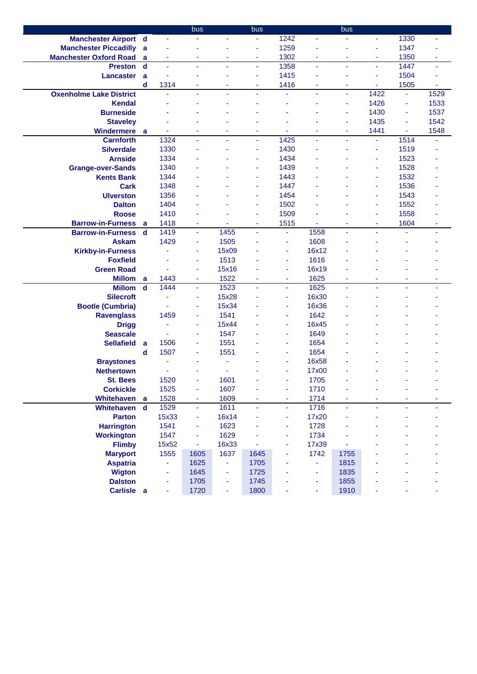|                                |             |                          | bus            |       | bus            |                          |                | bus            |      |      |      |
|--------------------------------|-------------|--------------------------|----------------|-------|----------------|--------------------------|----------------|----------------|------|------|------|
| <b>Manchester Airport d</b>    |             | ÷.                       | ä,             | ÷.    | ÷              | 1242                     | ä,             | ä,             | ä,   | 1330 | Ξ    |
| <b>Manchester Piccadilly</b>   | a           |                          |                |       | ä,             | 1259                     |                | ä              | ä,   | 1347 |      |
| <b>Manchester Oxford Road</b>  | a           | ÷                        | ٠              | ۰     | ٠              | 1302                     | ٠              | ÷              | ÷    | 1350 | ٠    |
| <b>Preston</b>                 | $\mathbf d$ | ä,                       | ä,             | ٠     | $\blacksquare$ | 1358                     | ä,             | ÷,             | ä,   | 1447 | ÷    |
| Lancaster                      | a           |                          | $\blacksquare$ | ٠     | ä,             | 1415                     | ÷              | ä              | ä,   | 1504 |      |
|                                | d           | 1314                     | ٠              | ٠     | ٠              | 1416                     | ٠              | ٠              | ۰    | 1505 | ٠    |
| <b>Oxenholme Lake District</b> |             |                          | ä,             | ٠     | ä,             | ä,                       | ٠              | $\blacksquare$ | 1422 | ä,   | 1529 |
| <b>Kendal</b>                  |             |                          |                |       |                |                          |                | ä,             | 1426 | ä,   | 1533 |
| <b>Burneside</b>               |             |                          |                |       |                |                          |                | ä,             | 1430 | ÷    | 1537 |
| <b>Staveley</b>                |             |                          |                |       |                |                          |                | ÷              | 1435 | ٠    | 1542 |
| <b>Windermere</b>              | a           |                          | $\blacksquare$ | ٠     | ä,             | ÷                        | $\blacksquare$ | ä,             | 1441 | ÷    | 1548 |
| <b>Carnforth</b>               |             | 1324                     | ä,             |       | ä,             | 1425                     | ä,             | ä,             | ä,   | 1514 |      |
| <b>Silverdale</b>              |             | 1330                     | $\blacksquare$ |       | ä,             | 1430                     |                | ä              | ä,   | 1519 |      |
| <b>Arnside</b>                 |             | 1334                     |                |       | ä,             | 1434                     |                |                | ÷    | 1523 |      |
| <b>Grange-over-Sands</b>       |             | 1340                     |                |       | ä,             | 1439                     |                |                | ÷    | 1528 |      |
| <b>Kents Bank</b>              |             | 1344                     |                |       | ٠              | 1443                     |                |                | ä,   | 1532 |      |
| <b>Cark</b>                    |             | 1348                     |                |       | ٠              | 1447                     |                |                | ٠    | 1536 |      |
| <b>Ulverston</b>               |             | 1356                     |                |       | ä,             | 1454                     |                |                | ä,   | 1543 |      |
| <b>Dalton</b>                  |             | 1404                     |                |       | ÷              | 1502                     |                |                | ÷    | 1552 |      |
| <b>Roose</b>                   |             | 1410                     |                |       | ٠              | 1509                     |                |                | ٠    | 1558 |      |
| <b>Barrow-in-Furness</b>       | a           | 1418                     | $\blacksquare$ |       | ä,             | 1515                     |                | ä              | ä,   | 1604 | ä,   |
| <b>Barrow-in-Furness</b>       | d           | 1419                     | $\blacksquare$ | 1455  | ÷.             | $\overline{\phantom{a}}$ | 1558           | ÷,             | ä,   | ٠    | ä,   |
| <b>Askam</b>                   |             | 1429                     | ٠              | 1505  |                | $\blacksquare$           | 1608           | ä,             |      |      |      |
| <b>Kirkby-in-Furness</b>       |             |                          | ä,             | 15x09 |                | $\blacksquare$           | 16x12          |                |      |      |      |
| <b>Foxfield</b>                |             |                          | ÷              | 1513  |                | ÷                        | 1616           |                |      |      |      |
| <b>Green Road</b>              |             |                          | ÷              | 15x16 |                | ٠                        | 16x19          |                |      |      |      |
| <b>Millom</b>                  | a           | 1443                     | ä,             | 1522  | ä,             | $\blacksquare$           | 1625           | ä,             |      |      | ä,   |
| <b>Millom</b>                  | $\mathbf d$ | 1444                     | ä,             | 1523  | ä,             | $\blacksquare$           | 1625           | ä,             | ä,   | ÷.   | ä,   |
| <b>Silecroft</b>               |             |                          | ÷              | 15x28 |                | ٠                        | 16x30          | ä              |      |      |      |
| <b>Bootle (Cumbria)</b>        |             |                          | ÷              | 15x34 |                | ٠                        | 16x36          | ä              |      |      |      |
| <b>Ravenglass</b>              |             | 1459                     | ÷              | 1541  |                | ٠                        | 1642           |                |      |      |      |
| <b>Drigg</b>                   |             |                          | ÷              | 15x44 |                | ÷                        | 16x45          |                |      |      |      |
| <b>Seascale</b>                |             |                          | ÷              | 1547  |                | ٠                        | 1649           |                |      |      |      |
| <b>Sellafield</b>              | a           | 1506                     | ÷              | 1551  |                | ٠                        | 1654           |                |      |      |      |
|                                | d           | 1507                     | ÷              | 1551  |                | ٠                        | 1654           |                |      |      |      |
| <b>Braystones</b>              |             |                          |                | ٠     |                | ٠                        | 16x58          |                |      |      |      |
| <b>Nethertown</b>              |             |                          |                |       |                | ٠                        | 17x00          |                |      |      |      |
| <b>St. Bees</b>                |             | 1520                     | $\blacksquare$ | 1601  |                | ä                        | 1705           |                |      |      |      |
| <b>Corkickle</b>               |             | 1525                     | ÷              | 1607  |                | $\overline{\phantom{a}}$ | 1710           | ä,             |      |      |      |
| Whitehaven                     | a           | 1528                     | ÷              | 1609  |                | ٠                        | 1714           | ä,             |      |      |      |
| Whitehaven                     | $\mathbf d$ | 1529                     | ÷.             | 1611  | ä,             | $\blacksquare$           | 1716           | ä,             | ä,   | ä,   |      |
| <b>Parton</b>                  |             | 15x33                    | ÷              | 16x14 |                | ٠                        | 17x20          |                |      |      |      |
| <b>Harrington</b>              |             | 1541                     | ÷              | 1623  |                | ۰                        | 1728           |                |      |      |      |
| <b>Workington</b>              |             | 1547                     | ä,             | 1629  |                | ۰                        | 1734           |                |      |      |      |
| <b>Flimby</b>                  |             | 15x52                    | ÷              | 16x33 |                | ÷                        | 17x39          |                |      |      |      |
| <b>Maryport</b>                |             | 1555                     | 1605           | 1637  | 1645           | ä,                       | 1742           | 1755           |      |      |      |
| <b>Aspatria</b>                |             | ä,                       | 1625           | Ξ     | 1705           |                          | ä,             | 1815           |      |      |      |
| <b>Wigton</b>                  |             | ٠                        | 1645           | ٠     | 1725           |                          | ÷              | 1835           |      |      |      |
| <b>Dalston</b>                 |             |                          | 1705           | ÷     | 1745           |                          | ٠              | 1855           |      |      |      |
| Carlisle a                     |             | $\overline{\phantom{a}}$ | 1720           | ٠     | 1800           |                          | ٠              | 1910           |      |      | ä,   |
|                                |             |                          |                |       |                |                          |                |                |      |      |      |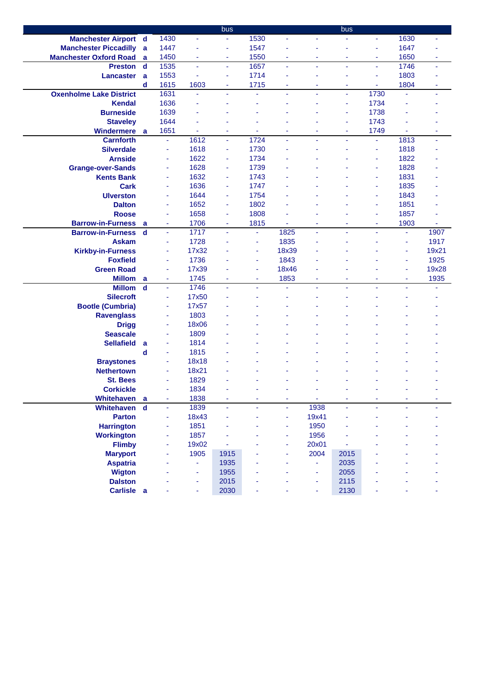|                                |             |                          |       | bus            |                |                          |                | bus  |                |      |       |
|--------------------------------|-------------|--------------------------|-------|----------------|----------------|--------------------------|----------------|------|----------------|------|-------|
| <b>Manchester Airport d</b>    |             | 1430                     | ä,    | Ξ              | 1530           | $\blacksquare$           | ä,             |      | ä,             | 1630 | ٠     |
| <b>Manchester Piccadilly a</b> |             | 1447                     | ÷     | $\blacksquare$ | 1547           |                          |                | ä    | ÷              | 1647 |       |
| <b>Manchester Oxford Road</b>  | a           | 1450                     | ä,    | ä,             | 1550           | $\overline{\phantom{a}}$ |                | ÷    | ä,             | 1650 | ÷     |
| <b>Preston</b>                 | d           | 1535                     | ä,    | ä,             | 1657           | $\blacksquare$           | ä,             | ä,   | ä,             | 1746 | ÷     |
| <b>Lancaster</b>               | a           | 1553                     | ä,    | $\blacksquare$ | 1714           | ٠                        |                | ÷    | ä,             | 1803 |       |
|                                | d           | 1615                     | 1603  | Ξ              | 1715           | ٠                        | ٠              | ۰    | ÷              | 1804 | ٠     |
| <b>Oxenholme Lake District</b> |             | 1631                     | ä,    | Ξ              | ä,             | $\blacksquare$           | $\blacksquare$ | ÷    | 1730           |      | ٠     |
| <b>Kendal</b>                  |             | 1636                     | ÷     |                |                |                          |                | ٠    | 1734           |      |       |
| <b>Burneside</b>               |             | 1639                     |       |                |                |                          |                | ä,   | 1738           |      |       |
| <b>Staveley</b>                |             | 1644                     |       |                |                |                          |                | ÷    | 1743           |      |       |
| Windermere                     | a           | 1651                     | ٠     | ٠              | ÷.             | ٠                        | ٠              | ÷    | 1749           |      | ٠     |
| <b>Carnforth</b>               |             | $\omega$                 | 1612  | ÷,             | 1724           | ä,                       |                | ä,   | ä,             | 1813 | ä,    |
| <b>Silverdale</b>              |             | ä,                       | 1618  | ä,             | 1730           |                          |                |      | ä,             | 1818 |       |
| <b>Arnside</b>                 |             | $\blacksquare$           | 1622  | ä,             | 1734           |                          |                |      | ä,             | 1822 |       |
| <b>Grange-over-Sands</b>       |             | ÷,                       | 1628  | ä,             | 1739           |                          |                |      | ä,             | 1828 |       |
| <b>Kents Bank</b>              |             | ä,                       | 1632  | $\blacksquare$ | 1743           |                          |                |      | ä,             | 1831 |       |
| <b>Cark</b>                    |             | $\overline{\phantom{a}}$ | 1636  | ÷              | 1747           |                          |                |      | ÷              | 1835 |       |
| <b>Ulverston</b>               |             | $\overline{\phantom{a}}$ | 1644  | ÷              | 1754           |                          |                |      | ×,             | 1843 |       |
| <b>Dalton</b>                  |             | ä,                       | 1652  | ÷              | 1802           |                          |                |      | ×,             | 1851 |       |
| <b>Roose</b>                   |             | ÷                        | 1658  | ÷              | 1808           |                          |                |      | ÷              | 1857 |       |
| <b>Barrow-in-Furness</b>       | a           | ×                        | 1706  | ٠              | 1815           |                          |                | ٠    | ٠              | 1903 |       |
| <b>Barrow-in-Furness</b>       | d           | $\omega$                 | 1717  | $\blacksquare$ | ٠              | 1825                     | ä,             | ä,   | $\blacksquare$ | ÷    | 1907  |
| <b>Askam</b>                   |             | ÷                        | 1728  |                | ٠              | 1835                     |                |      |                | ٠    | 1917  |
| <b>Kirkby-in-Furness</b>       |             | $\blacksquare$           | 17x32 |                | ÷,             | 18x39                    |                |      |                | ۰    | 19x21 |
| <b>Foxfield</b>                |             | $\blacksquare$           | 1736  |                | ä,             | 1843                     |                |      |                | ٠    | 1925  |
| <b>Green Road</b>              |             | ÷                        | 17x39 |                | Ξ              | 18x46                    |                |      |                | ÷    | 19x28 |
| <b>Millom</b>                  | a           | ÷,                       | 1745  | ÷              | $\blacksquare$ | 1853                     |                | ٠    |                | ٠    | 1935  |
| <b>Millom</b>                  | $\mathbf d$ | ä,                       | 1746  | ÷.             | ÷.             | ä,                       | ä,             | ä,   | ä,             | ÷.   |       |
| <b>Silecroft</b>               |             | $\blacksquare$           | 17x50 |                |                |                          |                |      |                |      |       |
| <b>Bootle (Cumbria)</b>        |             | ÷                        | 17x57 |                |                |                          |                |      |                |      |       |
| <b>Ravenglass</b>              |             | ÷                        | 1803  |                |                |                          |                |      |                |      |       |
| <b>Drigg</b>                   |             | ä,                       | 18x06 |                |                |                          |                |      |                |      |       |
| <b>Seascale</b>                |             | ÷                        | 1809  |                |                |                          |                |      |                |      |       |
| <b>Sellafield</b>              | a           | ÷                        | 1814  |                |                |                          |                |      |                |      |       |
|                                | d           | ä,                       | 1815  |                |                |                          |                |      |                |      |       |
| <b>Braystones</b>              |             | ÷                        | 18x18 |                |                |                          |                |      |                |      |       |
| <b>Nethertown</b>              |             | $\blacksquare$           | 18x21 |                |                |                          |                |      |                |      |       |
| <b>St. Bees</b>                |             |                          | 1829  |                |                |                          |                |      |                |      |       |
| <b>Corkickle</b>               |             | $\overline{\phantom{a}}$ | 1834  | ÷              |                | ÷                        | ÷              |      |                |      |       |
| Whitehaven                     | <b>a</b>    | $\overline{\phantom{a}}$ | 1838  |                |                | ٠                        |                | ä,   |                |      |       |
| Whitehaven                     | $\mathbf d$ | ä,                       | 1839  | ä,             | ÷.             | $\blacksquare$           | 1938           | ä,   | ä,             | ÷    |       |
| <b>Parton</b>                  |             | ÷                        | 18x43 |                |                | ٠                        | 19x41          |      |                |      |       |
| <b>Harrington</b>              |             | ä,                       | 1851  |                |                | ٠                        | 1950           |      |                |      |       |
| <b>Workington</b>              |             | ÷                        | 1857  |                |                | $\overline{\phantom{a}}$ | 1956           |      |                |      |       |
| <b>Flimby</b>                  |             | ä,                       | 19x02 |                |                | ٠                        | 20x01          |      |                |      |       |
| <b>Maryport</b>                |             | ٠                        | 1905  | 1915           |                | ٠                        | 2004           | 2015 |                |      |       |
| <b>Aspatria</b>                |             |                          | ÷     | 1935           |                |                          |                | 2035 |                |      |       |
| <b>Wigton</b>                  |             |                          | ÷     | 1955           |                |                          | ä,             | 2055 |                |      |       |
| <b>Dalston</b>                 |             |                          | ٠     | 2015           |                |                          | ٠              | 2115 |                |      |       |
| Carlisle a                     |             |                          | ÷     | 2030           |                |                          | ä,             | 2130 |                |      |       |
|                                |             |                          |       |                |                |                          |                |      |                |      |       |